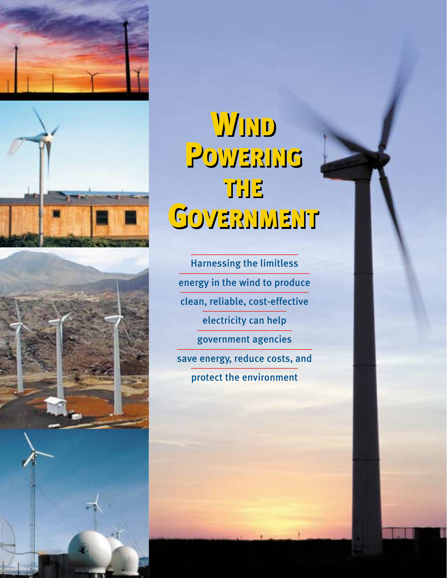

# WIND POWERING THE THE GOVERNMENT GOVERNMENTWIND POWERING

Harnessing the limitless energy in the wind to produce clean, reliable, cost-effective electricity can help government agencies save energy, reduce costs, and protect the environment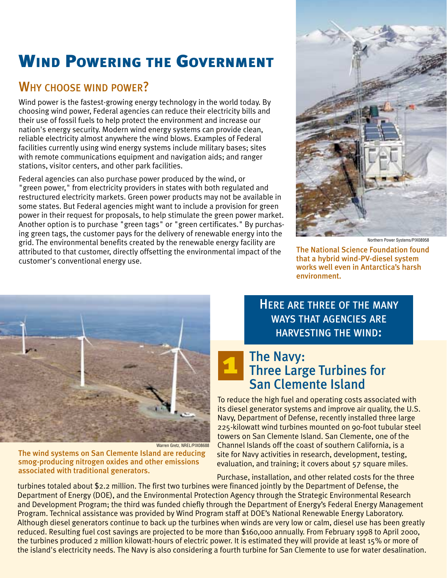# WIND POWERING THE GOVERNMENT

#### WHY CHOOSE WIND POWER?

Wind power is the fastest-growing energy technology in the world today. By choosing wind power, Federal agencies can reduce their electricity bills and their use of fossil fuels to help protect the environment and increase our nation's energy security. Modern wind energy systems can provide clean, reliable electricity almost anywhere the wind blows. Examples of Federal facilities currently using wind energy systems include military bases; sites with remote communications equipment and navigation aids; and ranger stations, visitor centers, and other park facilities.

Federal agencies can also purchase power produced by the wind, or "green power," from electricity providers in states with both regulated and restructured electricity markets. Green power products may not be available in some states. But Federal agencies might want to include a provision for green power in their request for proposals, to help stimulate the green power market. Another option is to purchase "green tags" or "green certificates." By purchasing green tags, the customer pays for the delivery of renewable energy into the grid. The environmental benefits created by the renewable energy facility are attributed to that customer, directly offsetting the environmental impact of the customer's conventional energy use.



Northern Power Systems/PIX08958

The National Science Foundation found that a hybrid wind-PV-diesel system works well even in Antarctica's harsh environment.



The wind systems on San Clemente Island are reducing smog-producing nitrogen oxides and other emissions associated with traditional generators.

HERE ARE THREE OF THE MANY WAYS THAT AGENCIES ARE HARVESTING THE WIND:

#### The Navy: Three Large Turbines for San Clemente Island 1

To reduce the high fuel and operating costs associated with its diesel generator systems and improve air quality, the U.S. Navy, Department of Defense, recently installed three large 225-kilowatt wind turbines mounted on 90-foot tubular steel towers on San Clemente Island. San Clemente, one of the Channel Islands off the coast of southern California, is a site for Navy activities in research, development, testing, evaluation, and training; it covers about 57 square miles.

Purchase, installation, and other related costs for the three turbines totaled about \$2.2 million. The first two turbines were financed jointly by the Department of Defense, the Department of Energy (DOE), and the Environmental Protection Agency through the Strategic Environmental Research and Development Program; the third was funded chiefly through the Department of Energy's Federal Energy Management Program. Technical assistance was provided by Wind Program staff at DOE's National Renewable Energy Laboratory. Although diesel generators continue to back up the turbines when winds are very low or calm, diesel use has been greatly reduced. Resulting fuel cost savings are projected to be more than \$160,000 annually. From February 1998 to April 2000, the turbines produced 2 million kilowatt-hours of electric power. It is estimated they will provide at least 15% or more of the island's electricity needs. The Navy is also considering a fourth turbine for San Clemente to use for water desalination.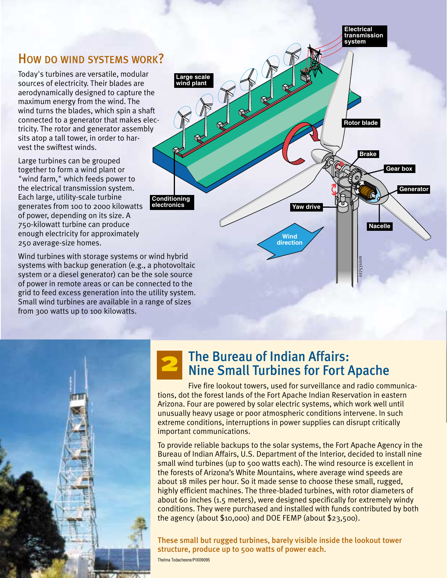#### HOW DO WIND SYSTEMS WORK?

Today's turbines are versatile, modular sources of electricity. Their blades are aerodynamically designed to capture the maximum energy from the wind. The wind turns the blades, which spin a shaft connected to a generator that makes electricity. The rotor and generator assembly sits atop a tall tower, in order to harvest the swiftest winds.

Large turbines can be grouped together to form a wind plant or "wind farm," which feeds power to the electrical transmission system. Each large, utility-scale turbine generates from 100 to 2000 kilowatts of power, depending on its size. A 750-kilowatt turbine can produce enough electricity for approximately 250 average-size homes.

Wind turbines with storage systems or wind hybrid systems with backup generation (e.g., a photovoltaic system or a diesel generator) can be the sole source of power in remote areas or can be connected to the grid to feed excess generation into the utility system. Small wind turbines are available in a range of sizes from 300 watts up to 100 kilowatts.



**Electrical**



# 2

## The Bureau of Indian Affairs: Nine Small Turbines for Fort Apache

Five fire lookout towers, used for surveillance and radio communications, dot the forest lands of the Fort Apache Indian Reservation in eastern Arizona. Four are powered by solar electric systems, which work well until unusually heavy usage or poor atmospheric conditions intervene. In such extreme conditions, interruptions in power supplies can disrupt critically important communications.

To provide reliable backups to the solar systems, the Fort Apache Agency in the Bureau of Indian Affairs, U.S. Department of the Interior, decided to install nine small wind turbines (up to 500 watts each). The wind resource is excellent in the forests of Arizona's White Mountains, where average wind speeds are about 18 miles per hour. So it made sense to choose these small, rugged, highly efficient machines. The three-bladed turbines, with rotor diameters of about 60 inches (1.5 meters), were designed specifically for extremely windy conditions. They were purchased and installed with funds contributed by both the agency (about \$10,000) and DOE FEMP (about \$23,500).

These small but rugged turbines, barely visible inside the lookout tower structure, produce up to 500 watts of power each.

Thelma Todacheene/PIX09095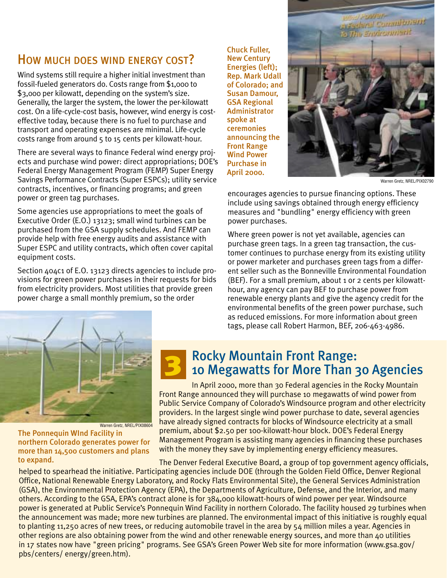### HOW MUCH DOES WIND ENERGY COST?

Wind systems still require a higher initial investment than fossil-fueled generators do. Costs range from \$1,000 to \$3,000 per kilowatt, depending on the system's size. Generally, the larger the system, the lower the per-kilowatt cost. On a life-cycle-cost basis, however, wind energy is costeffective today, because there is no fuel to purchase and transport and operating expenses are minimal. Life-cycle costs range from around 5 to 15 cents per kilowatt-hour.

There are several ways to finance Federal wind energy projects and purchase wind power: direct appropriations; DOE's Federal Energy Management Program (FEMP) Super Energy Savings Performance Contracts (Super ESPCs); utility service contracts, incentives, or financing programs; and green power or green tag purchases.

Some agencies use appropriations to meet the goals of Executive Order (E.O.) 13123; small wind turbines can be purchased from the GSA supply schedules. And FEMP can provide help with free energy audits and assistance with Super ESPC and utility contracts, which often cover capital equipment costs.

Section 404c1 of E.O. 13123 directs agencies to include provisions for green power purchases in their requests for bids from electricity providers. Most utilities that provide green power charge a small monthly premium, so the order

3

Chuck Fuller, New Century Energies (left); Rep. Mark Udall of Colorado; and Susan Damour, GSA Regional Administrator spoke at ceremonies announcing the Front Range Wind Power Purchase in April 2000.



Warren Gretz, NREL/PIX02790

encourages agencies to pursue financing options. These include using savings obtained through energy efficiency measures and "bundling" energy efficiency with green power purchases.

Where green power is not yet available, agencies can purchase green tags. In a green tag transaction, the customer continues to purchase energy from its existing utility or power marketer and purchases green tags from a different seller such as the Bonneville Environmental Foundation (BEF). For a small premium, about 1 or 2 cents per kilowatthour, any agency can pay BEF to purchase power from renewable energy plants and give the agency credit for the environmental benefits of the green power purchase, such as reduced emissions. For more information about green tags, please call Robert Harmon, BEF, 206-463-4986.



The Ponnequin WInd Facility in northern Colorado generates power for more than 14,500 customers and plans to expand.

#### Rocky Mountain Front Range: 10 Megawatts for More Than 30 Agencies

In April 2000, more than 30 Federal agencies in the Rocky Mountain Front Range announced they will purchase 10 megawatts of wind power from Public Service Company of Colorado's Windsource program and other electricity providers. In the largest single wind power purchase to date, several agencies have already signed contracts for blocks of Windsource electricity at a small premium, about \$2.50 per 100-kilowatt-hour block. DOE's Federal Energy Management Program is assisting many agencies in financing these purchases with the money they save by implementing energy efficiency measures.

The Denver Federal Executive Board, a group of top government agency officials, helped to spearhead the initiative. Participating agencies include DOE (through the Golden Field Office, Denver Regional Office, National Renewable Energy Laboratory, and Rocky Flats Environmental Site), the General Services Administration (GSA), the Environmental Protection Agency (EPA), the Departments of Agriculture, Defense, and the Interior, and many others. According to the GSA, EPA's contract alone is for 384,000 kilowatt-hours of wind power per year. Windsource power is generated at Public Service's Ponnequin Wind Facility in northern Colorado. The facility housed 29 turbines when the announcement was made; more new turbines are planned. The environmental impact of this initiative is roughly equal to planting 11,250 acres of new trees, or reducing automobile travel in the area by 54 million miles a year. Agencies in other regions are also obtaining power from the wind and other renewable energy sources, and more than 40 utilities in 17 states now have "green pricing" programs. See GSA's Green Power Web site for more information (www.gsa.gov/ pbs/centers/ energy/green.htm).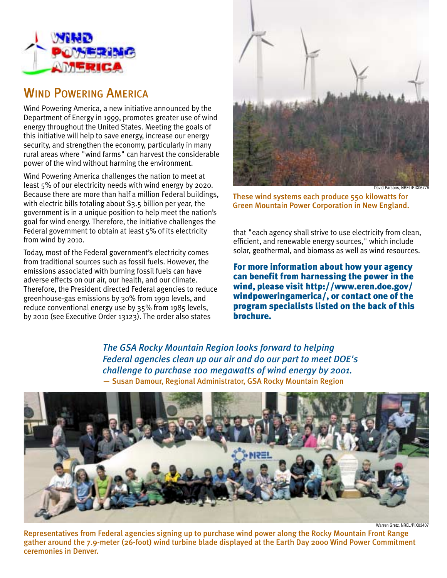

#### WIND POWERING AMERICA

Wind Powering America, a new initiative announced by the Department of Energy in 1999, promotes greater use of wind energy throughout the United States. Meeting the goals of this initiative will help to save energy, increase our energy security, and strengthen the economy, particularly in many rural areas where "wind farms" can harvest the considerable power of the wind without harming the environment.

Wind Powering America challenges the nation to meet at least 5% of our electricity needs with wind energy by 2020. Because there are more than half a million Federal buildings, with electric bills totaling about \$3.5 billion per year, the government is in a unique position to help meet the nation's goal for wind energy. Therefore, the initiative challenges the Federal government to obtain at least 5% of its electricity from wind by 2010.

Today, most of the Federal government's electricity comes from traditional sources such as fossil fuels. However, the emissions associated with burning fossil fuels can have adverse effects on our air, our health, and our climate. Therefore, the President directed Federal agencies to reduce greenhouse-gas emissions by 30% from 1990 levels, and reduce conventional energy use by 35% from 1985 levels, by 2010 (see Executive Order 13123). The order also states



David Parsons, NREL/PIX06776

These wind systems each produce 550kilowatts for Green Mountain Power Corporation in New England.

that "each agency shall strive to use electricity from clean, efficient, and renewable energy sources," which include solar, geothermal, and biomass as well as wind resources.

For more information about how your agency can benefit from harnessing the power in the wind, please visit http://www.eren.doe.gov/ windpoweringamerica/, or contact one of the program specialists listed on the back of this brochure.

*The GSA Rocky Mountain Region looks forward to helping Federal agencies clean up our air and do our part to meet DOE's challenge to purchase 100 megawatts of wind energy by 2001.* — Susan Damour, Regional Administrator, GSA Rocky Mountain Region



Warren Gretz, NREL/PIX03407

Representatives from Federal agencies signing up to purchase wind power along the Rocky Mountain Front Range gather around the 7.9-meter (26-foot) wind turbine blade displayed at the Earth Day 2000 Wind Power Commitment ceremonies in Denver.